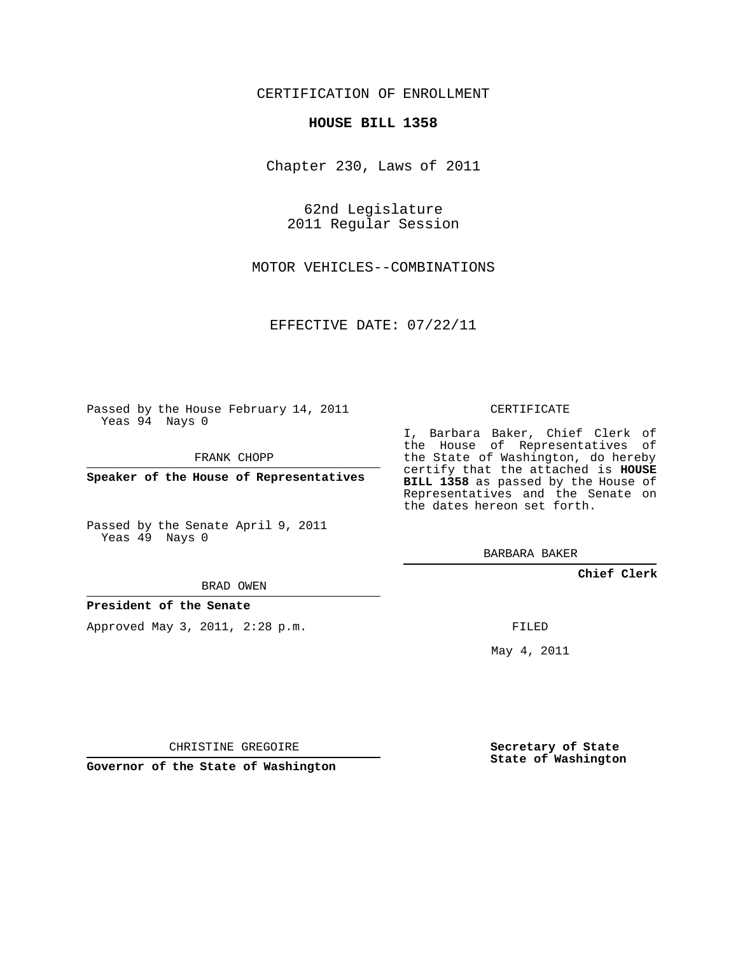### CERTIFICATION OF ENROLLMENT

#### **HOUSE BILL 1358**

Chapter 230, Laws of 2011

62nd Legislature 2011 Regular Session

MOTOR VEHICLES--COMBINATIONS

EFFECTIVE DATE: 07/22/11

Passed by the House February 14, 2011 Yeas 94 Nays 0

FRANK CHOPP

**Speaker of the House of Representatives**

Passed by the Senate April 9, 2011 Yeas 49 Nays 0

#### BRAD OWEN

**President of the Senate**

Approved May 3, 2011, 2:28 p.m.

### CERTIFICATE

I, Barbara Baker, Chief Clerk of the House of Representatives of the State of Washington, do hereby certify that the attached is **HOUSE BILL 1358** as passed by the House of Representatives and the Senate on the dates hereon set forth.

BARBARA BAKER

**Chief Clerk**

FILED

May 4, 2011

**Secretary of State State of Washington**

CHRISTINE GREGOIRE

**Governor of the State of Washington**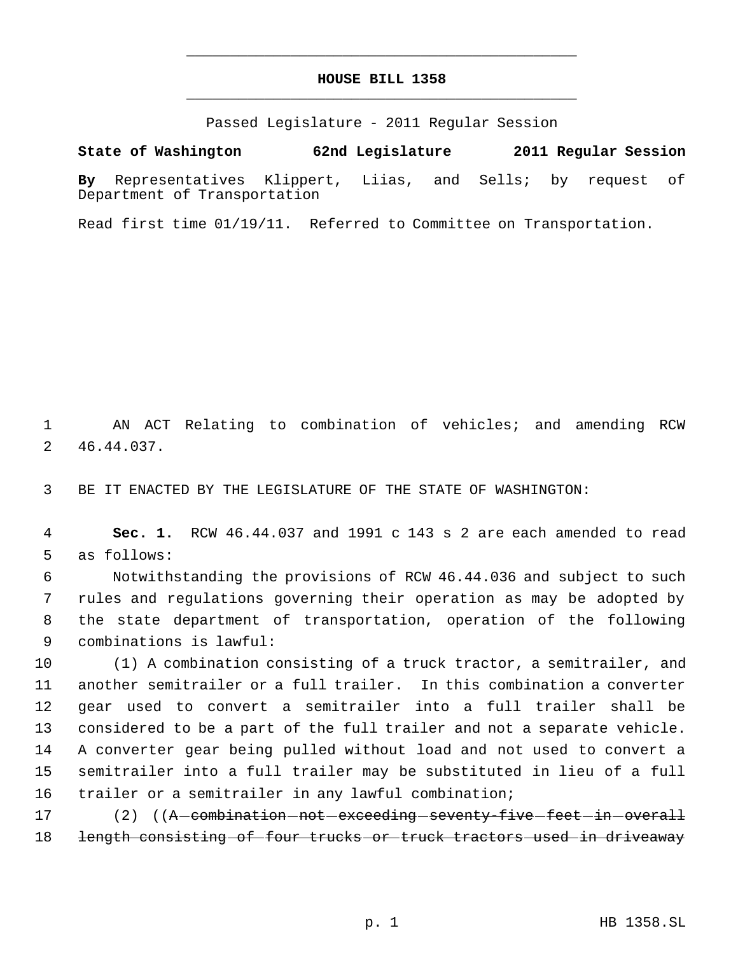# **HOUSE BILL 1358** \_\_\_\_\_\_\_\_\_\_\_\_\_\_\_\_\_\_\_\_\_\_\_\_\_\_\_\_\_\_\_\_\_\_\_\_\_\_\_\_\_\_\_\_\_

\_\_\_\_\_\_\_\_\_\_\_\_\_\_\_\_\_\_\_\_\_\_\_\_\_\_\_\_\_\_\_\_\_\_\_\_\_\_\_\_\_\_\_\_\_

Passed Legislature - 2011 Regular Session

**By** Representatives Klippert, Liias, and Sells; by request of Department of Transportation

**State of Washington 62nd Legislature 2011 Regular Session**

Read first time 01/19/11. Referred to Committee on Transportation.

 1 AN ACT Relating to combination of vehicles; and amending RCW 2 46.44.037.

3 BE IT ENACTED BY THE LEGISLATURE OF THE STATE OF WASHINGTON:

 4 **Sec. 1.** RCW 46.44.037 and 1991 c 143 s 2 are each amended to read 5 as follows:

 Notwithstanding the provisions of RCW 46.44.036 and subject to such rules and regulations governing their operation as may be adopted by the state department of transportation, operation of the following combinations is lawful:

 (1) A combination consisting of a truck tractor, a semitrailer, and another semitrailer or a full trailer. In this combination a converter gear used to convert a semitrailer into a full trailer shall be considered to be a part of the full trailer and not a separate vehicle. A converter gear being pulled without load and not used to convert a semitrailer into a full trailer may be substituted in lieu of a full trailer or a semitrailer in any lawful combination;

17 (2) ((A combination not exceeding seventy five feet in overall 18 length consisting of four trucks or truck tractors used in driveaway